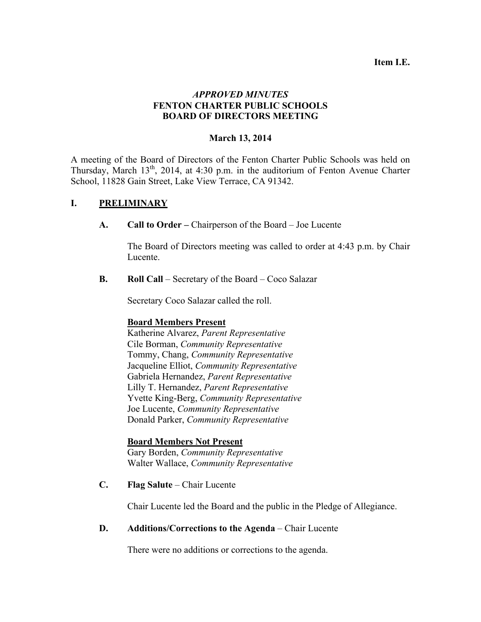#### **Item I.E.**

## *APPROVED MINUTES* **FENTON CHARTER PUBLIC SCHOOLS BOARD OF DIRECTORS MEETING**

### **March 13, 2014**

A meeting of the Board of Directors of the Fenton Charter Public Schools was held on Thursday, March  $13<sup>th</sup>$ , 2014, at 4:30 p.m. in the auditorium of Fenton Avenue Charter School, 11828 Gain Street, Lake View Terrace, CA 91342.

## **I. PRELIMINARY**

**A. Call to Order –** Chairperson of the Board – Joe Lucente

The Board of Directors meeting was called to order at 4:43 p.m. by Chair Lucente.

**B. Roll Call** – Secretary of the Board – Coco Salazar

Secretary Coco Salazar called the roll.

### **Board Members Present**

Katherine Alvarez, *Parent Representative* Cile Borman, *Community Representative* Tommy, Chang, *Community Representative* Jacqueline Elliot, *Community Representative* Gabriela Hernandez, *Parent Representative* Lilly T. Hernandez, *Parent Representative* Yvette King-Berg, *Community Representative* Joe Lucente, *Community Representative* Donald Parker, *Community Representative*

### **Board Members Not Present**

Gary Borden, *Community Representative* Walter Wallace, *Community Representative*

**C. Flag Salute** – Chair Lucente

Chair Lucente led the Board and the public in the Pledge of Allegiance.

### **D. Additions/Corrections to the Agenda** – Chair Lucente

There were no additions or corrections to the agenda.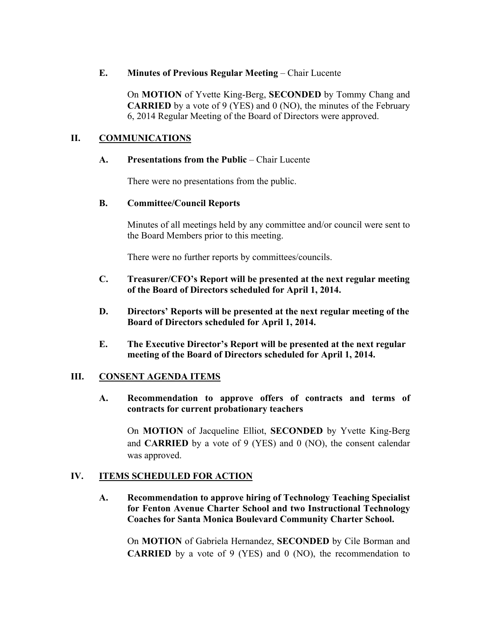## **E. Minutes of Previous Regular Meeting** – Chair Lucente

On **MOTION** of Yvette King-Berg, **SECONDED** by Tommy Chang and **CARRIED** by a vote of 9 (YES) and 0 (NO), the minutes of the February 6, 2014 Regular Meeting of the Board of Directors were approved.

# **II. COMMUNICATIONS**

## **A. Presentations from the Public** – Chair Lucente

There were no presentations from the public.

## **B. Committee/Council Reports**

Minutes of all meetings held by any committee and/or council were sent to the Board Members prior to this meeting.

There were no further reports by committees/councils.

## **C. Treasurer/CFO's Report will be presented at the next regular meeting of the Board of Directors scheduled for April 1, 2014.**

- **D. Directors' Reports will be presented at the next regular meeting of the Board of Directors scheduled for April 1, 2014.**
- **E. The Executive Director's Report will be presented at the next regular meeting of the Board of Directors scheduled for April 1, 2014.**

# **III. CONSENT AGENDA ITEMS**

**A. Recommendation to approve offers of contracts and terms of contracts for current probationary teachers**

On **MOTION** of Jacqueline Elliot, **SECONDED** by Yvette King-Berg and **CARRIED** by a vote of 9 (YES) and 0 (NO), the consent calendar was approved.

# **IV. ITEMS SCHEDULED FOR ACTION**

**A. Recommendation to approve hiring of Technology Teaching Specialist for Fenton Avenue Charter School and two Instructional Technology Coaches for Santa Monica Boulevard Community Charter School.**

On **MOTION** of Gabriela Hernandez, **SECONDED** by Cile Borman and **CARRIED** by a vote of 9 (YES) and 0 (NO), the recommendation to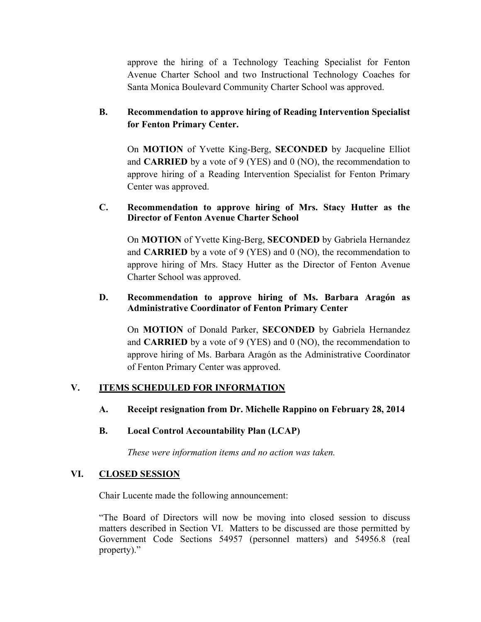approve the hiring of a Technology Teaching Specialist for Fenton Avenue Charter School and two Instructional Technology Coaches for Santa Monica Boulevard Community Charter School was approved.

# **B. Recommendation to approve hiring of Reading Intervention Specialist for Fenton Primary Center.**

On **MOTION** of Yvette King-Berg, **SECONDED** by Jacqueline Elliot and **CARRIED** by a vote of 9 (YES) and 0 (NO), the recommendation to approve hiring of a Reading Intervention Specialist for Fenton Primary Center was approved.

## **C. Recommendation to approve hiring of Mrs. Stacy Hutter as the Director of Fenton Avenue Charter School**

On **MOTION** of Yvette King-Berg, **SECONDED** by Gabriela Hernandez and **CARRIED** by a vote of 9 (YES) and 0 (NO), the recommendation to approve hiring of Mrs. Stacy Hutter as the Director of Fenton Avenue Charter School was approved.

### **D. Recommendation to approve hiring of Ms. Barbara Aragón as Administrative Coordinator of Fenton Primary Center**

On **MOTION** of Donald Parker, **SECONDED** by Gabriela Hernandez and **CARRIED** by a vote of 9 (YES) and 0 (NO), the recommendation to approve hiring of Ms. Barbara Aragón as the Administrative Coordinator of Fenton Primary Center was approved.

# **V. ITEMS SCHEDULED FOR INFORMATION**

### **A. Receipt resignation from Dr. Michelle Rappino on February 28, 2014**

### **B. Local Control Accountability Plan (LCAP)**

*These were information items and no action was taken.*

### **VI. CLOSED SESSION**

Chair Lucente made the following announcement:

"The Board of Directors will now be moving into closed session to discuss matters described in Section VI. Matters to be discussed are those permitted by Government Code Sections 54957 (personnel matters) and 54956.8 (real property)."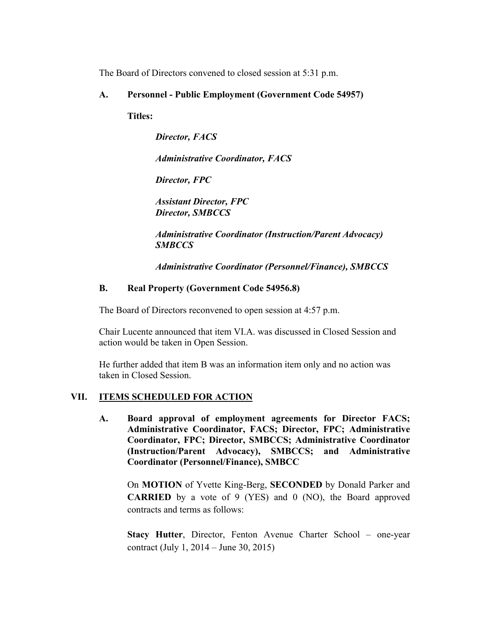The Board of Directors convened to closed session at 5:31 p.m.

### **A. Personnel - Public Employment (Government Code 54957)**

**Titles:**

*Director, FACS*

*Administrative Coordinator, FACS*

*Director, FPC*

*Assistant Director, FPC Director, SMBCCS*

*Administrative Coordinator (Instruction/Parent Advocacy) SMBCCS*

*Administrative Coordinator (Personnel/Finance), SMBCCS*

## **B. Real Property (Government Code 54956.8)**

The Board of Directors reconvened to open session at 4:57 p.m.

Chair Lucente announced that item VI.A. was discussed in Closed Session and action would be taken in Open Session.

He further added that item B was an information item only and no action was taken in Closed Session.

# **VII. ITEMS SCHEDULED FOR ACTION**

**A. Board approval of employment agreements for Director FACS; Administrative Coordinator, FACS; Director, FPC; Administrative Coordinator, FPC; Director, SMBCCS; Administrative Coordinator (Instruction/Parent Advocacy), SMBCCS; and Administrative Coordinator (Personnel/Finance), SMBCC**

On **MOTION** of Yvette King-Berg, **SECONDED** by Donald Parker and **CARRIED** by a vote of 9 (YES) and 0 (NO), the Board approved contracts and terms as follows:

**Stacy Hutter**, Director, Fenton Avenue Charter School – one-year contract (July 1, 2014 – June 30, 2015)